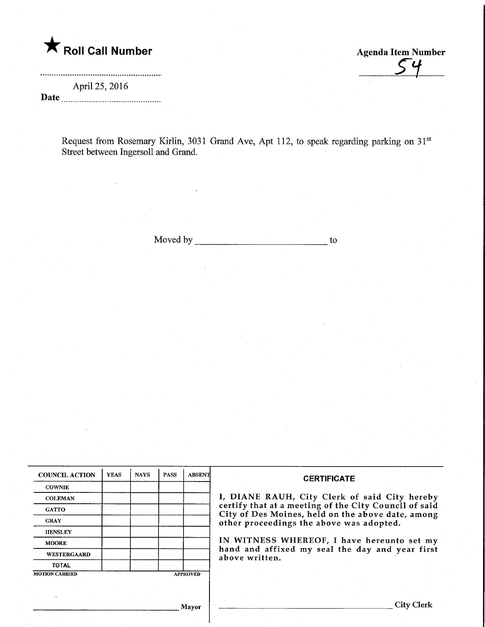

Agenda Item Number

April 25, 2016

 $\frac{P_{\text{PIII}}}{P_{\text{O}}}\sum_{1}^{P_{\text{O}}}\sum_{1}^{P_{\text{O}}}\sum_{1}^{P_{\text{O}}}\sum_{1}^{P_{\text{O}}}\sum_{1}^{P_{\text{O}}}\sum_{1}^{P_{\text{O}}}\sum_{1}^{P_{\text{O}}}\sum_{1}^{P_{\text{O}}}\sum_{1}^{P_{\text{O}}}\sum_{1}^{P_{\text{O}}}\sum_{1}^{P_{\text{O}}}\sum_{1}^{P_{\text{O}}}\sum_{1}^{P_{\text{O}}}\sum_{1}^{P_{\text{O}}}\sum_{1}^{P_{\text{O}}}\sum_{1}^{$ 

Request from Rosemary Kirlin, 3031 Grand Ave, Apt 112, to speak regarding parking on 31 Street between Ingersoll and Grand.

Moved by to

| <b>COUNCIL ACTION</b>                    | <b>YEAS</b> | <b>NAYS</b> | <b>PASS</b> | <b>ABSENT</b> | <b>CERTIFICATE</b>                                                                                         |  |  |
|------------------------------------------|-------------|-------------|-------------|---------------|------------------------------------------------------------------------------------------------------------|--|--|
| <b>COWNIE</b>                            |             |             |             |               |                                                                                                            |  |  |
| <b>COLEMAN</b>                           |             |             |             |               | I, DIANE RAUH, City Clerk of said City hereby                                                              |  |  |
| <b>GATTO</b>                             |             |             |             |               | certify that at a meeting of the City Council of said<br>City of Des Moines, held on the above date, among |  |  |
| <b>GRAY</b>                              |             |             |             |               | other proceedings the above was adopted.<br>IN WITNESS WHEREOF, I have hereunto set my                     |  |  |
| <b>HENSLEY</b>                           |             |             |             |               |                                                                                                            |  |  |
| <b>MOORE</b>                             |             |             |             |               |                                                                                                            |  |  |
| <b>WESTERGAARD</b>                       |             |             |             |               | hand and affixed my seal the day and year first<br>above written.                                          |  |  |
| <b>TOTAL</b>                             |             |             |             |               |                                                                                                            |  |  |
| <b>MOTION CARRIED</b><br><b>APPROVED</b> |             |             |             |               |                                                                                                            |  |  |
|                                          |             |             |             |               |                                                                                                            |  |  |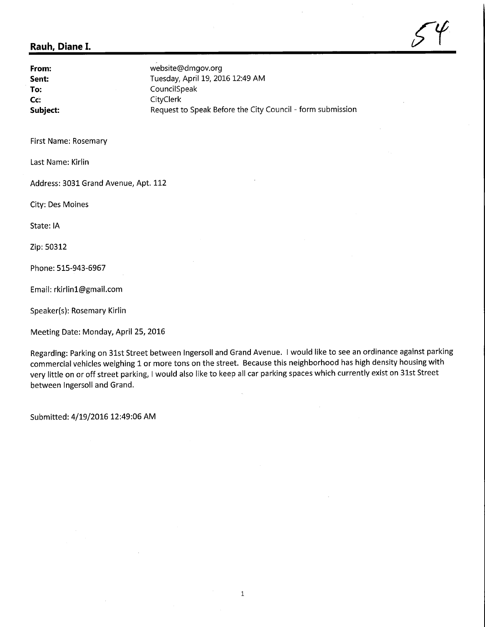## Rauh, Diane I.  $\mathcal{S}^{\varphi}$

From: website@dmgov.org<br>
Sent: Tuesday, April 19, 20. Sent: Tuesday, April 19, 2016 12:49 AM<br>
To: CouncilSpeak To: CouncilSpeak<br>
CouncilSpeak<br>
CouncilSpeak<br>
CityClerk Fo: CouncilSp<br>Co: CityClerk<br>CityClerk Subject: Subject: Request to Speak Before the City Council - form submission

First Name: Rosemary

Last Name: Kirlin

Address: 3031 Grand Avenue, Apt. 112

City: Des Moines

State: IA

Zip: 50312

Phone: 515-943-6967

Email: rkirlinl@gmail.com

Speaker(s): Rosemary Kirlin

Meeting Date: Monday, April 25, 2016

Regarding: Parking on 31st Street between Ingersoll and Grand Avenue. I would like to see an ordinance against parking commercial vehicles weighing 1 or more tons on the street. Because this neighborhood has high density housing with very little on or off street parking, I would also like to keep all car parking spaces which currently exist on 31st Street between Ingersoll and Grand.

Submitted: 4/19/2016 12:49:06 AM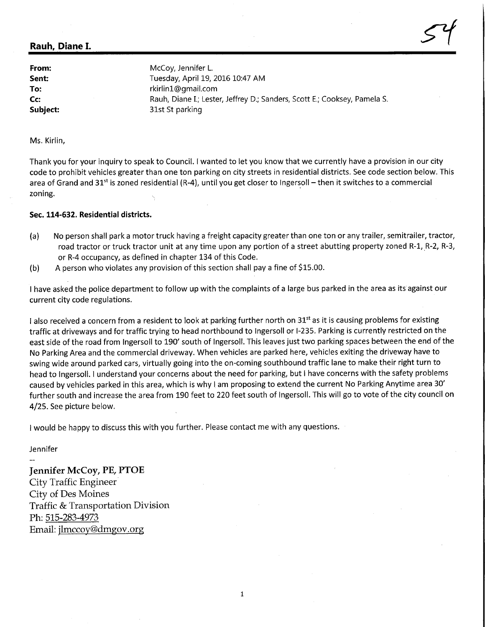## Rauh, Diane I.

From: McCoy, Jennifer L.<br>
Sent: Sent: Tuesday, April 19, Tuesday, April 19, 2016 10:47 AM To: The rkirlin1@gmail.com Cc: Rauh, Diane I.; Lester, Jeffrey D.; Sanders, Scott E.; Cooksey, Pamela S. Subject: 31st St parking

 $5^4$ 

Ms. Kirlin,

Thank you for your inquiry to speak to Council. I wanted to let you know that we currently have a provision in our city code to prohibit vehicles greater than one ton parking on city streets in residential districts. See code section below. This area of Grand and 31st is zoned residential (R-4), until you get closer to Ingersoll – then it switches to a commercial zoning.

## Sec. 114-632. Residential districts.

- (a) No person shall park a motor truck having a freight capacity greater than one ton or any trailer, semitrailer, tractor, road tractor or truck tractor unit at any time upon any portion of a street abutting property zoned R-1, R-2, R-3, or R-4 occupancy, as defined in chapter 134 of this Code.
- (b) A person who violates any provision of this section shall pay a fine of \$15.00.

I have asked the police department to follow up with the complaints of a large bus parked in the area as its against our current city code regulations.

I also received a concern from a resident to look at parking further north on 31<sup>st</sup> as it is causing problems for existing traffic at driveways and for traffic trying to head northbound to Ingersoll or 1-235. Parking is currently restricted on the east side of the road from Ingersoll to 190' south of Ingersoll. This leaves just two parking spaces between the end of the No Parking Area and the commercial driveway. When vehicles are parked here, vehicles exiting the driveway have to swing wide around parked cars, virtually going into the on-coming southbound traffic lane to make their right turn to head to Ingersoll. I understand your concerns about the need for parking, but I have concerns with the safety problems caused by vehicles parked in this area, which is why I am proposing to extend the current No Parking Anytime area 30' further south and increase the area from 190 feet to 220 feet south of Ingersoll. This will go to vote of the city council on 4/25. See picture below.

I would be happy to discuss this with you further. Please contact me with any questions.

Jennifer

Jennifer McCoy, PE, PTOE City Traffic Engineer City of Des Moines Traffic & Transportation Division Ph: 515-283-4973 Email: jlmccoy@dmgov.org